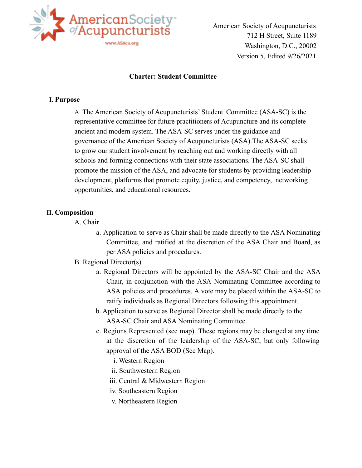

American Society of Acupuncturists 712 H Street, Suite 1189 Washington, D.C., 20002 Version 5, Edited 9/26/2021

#### **Charter: Student Committee**

#### **I. Purpose**

A. The American Society of Acupuncturists' Student Committee (ASA-SC) is the representative committee for future practitioners of Acupuncture and its complete ancient and modern system. The ASA-SC serves under the guidance and governance of the American Society of Acupuncturists (ASA).The ASA-SC seeks to grow our student involvement by reaching out and working directly with all schools and forming connections with their state associations. The ASA-SC shall promote the mission of the ASA, and advocate for students by providing leadership development, platforms that promote equity, justice, and competency, networking opportunities, and educational resources.

#### **II. Composition**

- A. Chair
	- a. Application to serve as Chair shall be made directly to the ASA Nominating Committee, and ratified at the discretion of the ASA Chair and Board, as per ASA policies and procedures.

### B. Regional Director(s)

- a. Regional Directors will be appointed by the ASA-SC Chair and the ASA Chair, in conjunction with the ASA Nominating Committee according to ASA policies and procedures. A vote may be placed within the ASA-SC to ratify individuals as Regional Directors following this appointment.
- b. Application to serve as Regional Director shall be made directly to the ASA-SC Chair and ASA Nominating Committee.
- c. Regions Represented (see map). These regions may be changed at any time at the discretion of the leadership of the ASA-SC, but only following approval of the ASA BOD (See Map).
	- i. Western Region
	- ii. Southwestern Region
	- iii. Central & Midwestern Region
	- iv. Southeastern Region
	- v. Northeastern Region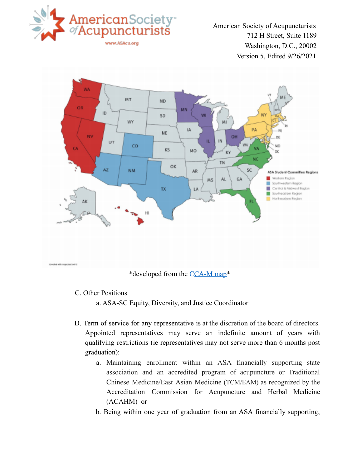

American Society of Acupuncturists 712 H Street, Suite 1189 Washington, D.C., 20002 Version 5, Edited 9/26/2021



- C. Other Positions
	- a. ASA-SC Equity, Diversity, and Justice Coordinator
- D. Term of service for any representative is at the discretion of the board of directors. Appointed representatives may serve an indefinite amount of years with qualifying restrictions (ie representatives may not serve more than 6 months post graduation):
	- a. Maintaining enrollment within an ASA financially supporting state association and an accredited program of acupuncture or Traditional Chinese Medicine/East Asian Medicine (TCM/EAM) as recognized by the Accreditation Commission for Acupuncture and Herbal Medicine (ACAHM) or
	- b. Being within one year of graduation from an ASA financially supporting,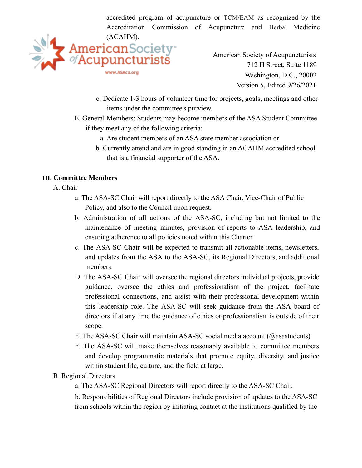accredited program of acupuncture or TCM/EAM as recognized by the Accreditation Commission of Acupuncture and Herbal Medicine (ACAHM).



American Society of Acupuncturists 712 H Street, Suite 1189 Washington, D.C., 20002 Version 5, Edited 9/26/2021

- c. Dedicate 1-3 hours of volunteer time for projects, goals, meetings and other items under the committee's purview.
- E. General Members: Students may become members of the ASA Student Committee if they meet any of the following criteria:
	- a. Are student members of an ASA state member association or
	- b. Currently attend and are in good standing in an ACAHM accredited school that is a financial supporter of the ASA.

# **III. Committee Members**

### A. Chair

- a. The ASA-SC Chair will report directly to the ASA Chair, Vice-Chair of Public Policy, and also to the Council upon request.
- b. Administration of all actions of the ASA-SC, including but not limited to the maintenance of meeting minutes, provision of reports to ASA leadership, and ensuring adherence to all policies noted within this Charter.
- c. The ASA-SC Chair will be expected to transmit all actionable items, newsletters, and updates from the ASA to the ASA-SC, its Regional Directors, and additional members.
- D. The ASA-SC Chair will oversee the regional directors individual projects, provide guidance, oversee the ethics and professionalism of the project, facilitate professional connections, and assist with their professional development within this leadership role. The ASA-SC will seek guidance from the ASA board of directors if at any time the guidance of ethics or professionalism is outside of their scope.
- E. The ASA-SC Chair will maintain ASA-SC social media account  $(Q$ asastudents)
- F. The ASA-SC will make themselves reasonably available to committee members and develop programmatic materials that promote equity, diversity, and justice within student life, culture, and the field at large.

### B. Regional Directors

a. The ASA-SC Regional Directors will report directly to the ASA-SC Chair.

b. Responsibilities of Regional Directors include provision of updates to the ASA-SC from schools within the region by initiating contact at the institutions qualified by the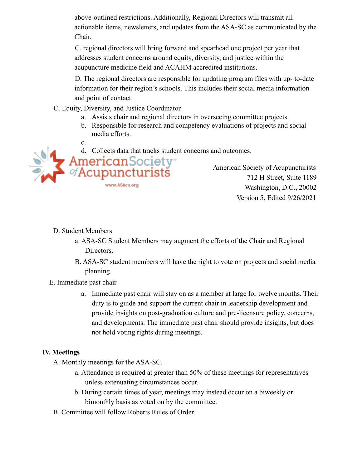above-outlined restrictions. Additionally, Regional Directors will transmit all actionable items, newsletters, and updates from the ASA-SC as communicated by the Chair.

C. regional directors will bring forward and spearhead one project per year that addresses student concerns around equity, diversity, and justice within the acupuncture medicine field and ACAHM accredited institutions.

D. The regional directors are responsible for updating program files with up- to-date information for their region's schools. This includes their social media information and point of contact.

- C. Equity, Diversity, and Justice Coordinator
	- a. Assists chair and regional directors in overseeing committee projects.
	- b. Responsible for research and competency evaluations of projects and social media efforts.
	- c.



**American**Society<sup>-</sup> Acupuncturistš www.ASAcu.org

American Society of Acupuncturists 712 H Street, Suite 1189 Washington, D.C., 20002 Version 5, Edited 9/26/2021

## D. Student Members

- a. ASA-SC Student Members may augment the efforts of the Chair and Regional Directors.
- B. ASA-SC student members will have the right to vote on projects and social media planning.
- E. Immediate past chair
	- a. Immediate past chair will stay on as a member at large for twelve months. Their duty is to guide and support the current chair in leadership development and provide insights on post-graduation culture and pre-licensure policy, concerns, and developments. The immediate past chair should provide insights, but does not hold voting rights during meetings.

### **IV. Meetings**

- A. Monthly meetings for the ASA-SC.
	- a. Attendance is required at greater than 50% of these meetings for representatives unless extenuating circumstances occur.
	- b. During certain times of year, meetings may instead occur on a biweekly or bimonthly basis as voted on by the committee.
- B. Committee will follow Roberts Rules of Order.